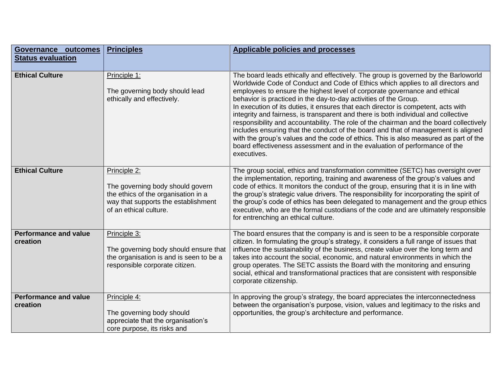| Governance<br>outcomes<br><b>Status evaluation</b> | <b>Principles</b>                                                                                                                                        | <b>Applicable policies and processes</b>                                                                                                                                                                                                                                                                                                                                                                                                                                                                                                                                                                                                                                                                                                                                                                                                                              |
|----------------------------------------------------|----------------------------------------------------------------------------------------------------------------------------------------------------------|-----------------------------------------------------------------------------------------------------------------------------------------------------------------------------------------------------------------------------------------------------------------------------------------------------------------------------------------------------------------------------------------------------------------------------------------------------------------------------------------------------------------------------------------------------------------------------------------------------------------------------------------------------------------------------------------------------------------------------------------------------------------------------------------------------------------------------------------------------------------------|
|                                                    |                                                                                                                                                          |                                                                                                                                                                                                                                                                                                                                                                                                                                                                                                                                                                                                                                                                                                                                                                                                                                                                       |
| <b>Ethical Culture</b>                             | Principle 1:<br>The governing body should lead<br>ethically and effectively.                                                                             | The board leads ethically and effectively. The group is governed by the Barloworld<br>Worldwide Code of Conduct and Code of Ethics which applies to all directors and<br>employees to ensure the highest level of corporate governance and ethical<br>behavior is practiced in the day-to-day activities of the Group.<br>In execution of its duties, it ensures that each director is competent, acts with<br>integrity and fairness, is transparent and there is both individual and collective<br>responsibility and accountability. The role of the chairman and the board collectively<br>includes ensuring that the conduct of the board and that of management is aligned<br>with the group's values and the code of ethics. This is also measured as part of the<br>board effectiveness assessment and in the evaluation of performance of the<br>executives. |
| <b>Ethical Culture</b>                             | Principle 2:<br>The governing body should govern<br>the ethics of the organisation in a<br>way that supports the establishment<br>of an ethical culture. | The group social, ethics and transformation committee (SETC) has oversight over<br>the implementation, reporting, training and awareness of the group's values and<br>code of ethics. It monitors the conduct of the group, ensuring that it is in line with<br>the group's strategic value drivers. The responsibility for incorporating the spirit of<br>the group's code of ethics has been delegated to management and the group ethics<br>executive, who are the formal custodians of the code and are ultimately responsible<br>for entrenching an ethical culture.                                                                                                                                                                                                                                                                                             |
| <b>Performance and value</b><br>creation           | Principle 3:<br>The governing body should ensure that<br>the organisation is and is seen to be a<br>responsible corporate citizen.                       | The board ensures that the company is and is seen to be a responsible corporate<br>citizen. In formulating the group's strategy, it considers a full range of issues that<br>influence the sustainability of the business, create value over the long term and<br>takes into account the social, economic, and natural environments in which the<br>group operates. The SETC assists the Board with the monitoring and ensuring<br>social, ethical and transformational practices that are consistent with responsible<br>corporate citizenship.                                                                                                                                                                                                                                                                                                                      |
| <b>Performance and value</b><br>creation           | Principle 4:<br>The governing body should<br>appreciate that the organisation's<br>core purpose, its risks and                                           | In approving the group's strategy, the board appreciates the interconnectedness<br>between the organisation's purpose, vision, values and legitimacy to the risks and<br>opportunities, the group's architecture and performance.                                                                                                                                                                                                                                                                                                                                                                                                                                                                                                                                                                                                                                     |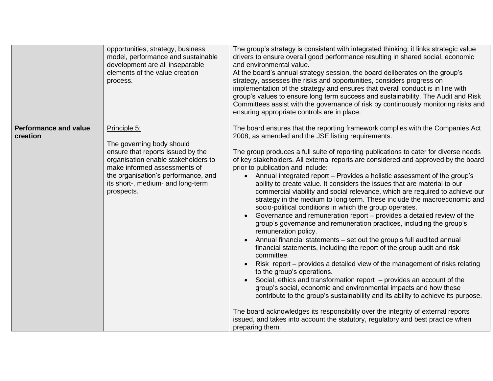|                                          | opportunities, strategy, business<br>model, performance and sustainable<br>development are all inseparable<br>elements of the value creation<br>process.                                                                                        | The group's strategy is consistent with integrated thinking, it links strategic value<br>drivers to ensure overall good performance resulting in shared social, economic<br>and environmental value.<br>At the board's annual strategy session, the board deliberates on the group's<br>strategy, assesses the risks and opportunities, considers progress on<br>implementation of the strategy and ensures that overall conduct is in line with<br>group's values to ensure long term success and sustainability. The Audit and Risk<br>Committees assist with the governance of risk by continuously monitoring risks and<br>ensuring appropriate controls are in place.                                                                                                                                                                                                                                                                                                                                                                                                                                                                                                                                                                                                                                                                                                                                                                                                                                                                                                                                                |
|------------------------------------------|-------------------------------------------------------------------------------------------------------------------------------------------------------------------------------------------------------------------------------------------------|---------------------------------------------------------------------------------------------------------------------------------------------------------------------------------------------------------------------------------------------------------------------------------------------------------------------------------------------------------------------------------------------------------------------------------------------------------------------------------------------------------------------------------------------------------------------------------------------------------------------------------------------------------------------------------------------------------------------------------------------------------------------------------------------------------------------------------------------------------------------------------------------------------------------------------------------------------------------------------------------------------------------------------------------------------------------------------------------------------------------------------------------------------------------------------------------------------------------------------------------------------------------------------------------------------------------------------------------------------------------------------------------------------------------------------------------------------------------------------------------------------------------------------------------------------------------------------------------------------------------------|
| <b>Performance and value</b><br>creation | Principle 5:<br>The governing body should<br>ensure that reports issued by the<br>organisation enable stakeholders to<br>make informed assessments of<br>the organisation's performance, and<br>its short-, medium- and long-term<br>prospects. | The board ensures that the reporting framework complies with the Companies Act<br>2008, as amended and the JSE listing requirements.<br>The group produces a full suite of reporting publications to cater for diverse needs<br>of key stakeholders. All external reports are considered and approved by the board<br>prior to publication and include:<br>Annual integrated report – Provides a holistic assessment of the group's<br>ability to create value. It considers the issues that are material to our<br>commercial viability and social relevance, which are required to achieve our<br>strategy in the medium to long term. These include the macroeconomic and<br>socio-political conditions in which the group operates.<br>Governance and remuneration report – provides a detailed review of the<br>group's governance and remuneration practices, including the group's<br>remuneration policy.<br>Annual financial statements - set out the group's full audited annual<br>financial statements, including the report of the group audit and risk<br>committee.<br>Risk report – provides a detailed view of the management of risks relating<br>to the group's operations.<br>Social, ethics and transformation report - provides an account of the<br>group's social, economic and environmental impacts and how these<br>contribute to the group's sustainability and its ability to achieve its purpose.<br>The board acknowledges its responsibility over the integrity of external reports<br>issued, and takes into account the statutory, regulatory and best practice when<br>preparing them. |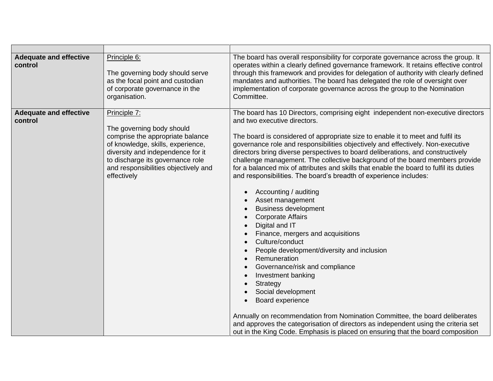| <b>Adequate and effective</b><br>control | Principle 6:<br>The governing body should serve<br>as the focal point and custodian<br>of corporate governance in the<br>organisation.                                                                                                             | The board has overall responsibility for corporate governance across the group. It<br>operates within a clearly defined governance framework. It retains effective control<br>through this framework and provides for delegation of authority with clearly defined<br>mandates and authorities. The board has delegated the role of oversight over<br>implementation of corporate governance across the group to the Nomination<br>Committee.                                                                                                                                                                                                                                                                                                                                                                                                                                                                                                                                                                                                                                                                                                                                                                                                                                                                   |
|------------------------------------------|----------------------------------------------------------------------------------------------------------------------------------------------------------------------------------------------------------------------------------------------------|-----------------------------------------------------------------------------------------------------------------------------------------------------------------------------------------------------------------------------------------------------------------------------------------------------------------------------------------------------------------------------------------------------------------------------------------------------------------------------------------------------------------------------------------------------------------------------------------------------------------------------------------------------------------------------------------------------------------------------------------------------------------------------------------------------------------------------------------------------------------------------------------------------------------------------------------------------------------------------------------------------------------------------------------------------------------------------------------------------------------------------------------------------------------------------------------------------------------------------------------------------------------------------------------------------------------|
| <b>Adequate and effective</b><br>control | Principle 7:<br>The governing body should<br>comprise the appropriate balance<br>of knowledge, skills, experience,<br>diversity and independence for it<br>to discharge its governance role<br>and responsibilities objectively and<br>effectively | The board has 10 Directors, comprising eight independent non-executive directors<br>and two executive directors.<br>The board is considered of appropriate size to enable it to meet and fulfil its<br>governance role and responsibilities objectively and effectively. Non-executive<br>directors bring diverse perspectives to board deliberations, and constructively<br>challenge management. The collective background of the board members provide<br>for a balanced mix of attributes and skills that enable the board to fulfil its duties<br>and responsibilities. The board's breadth of experience includes:<br>Accounting / auditing<br>Asset management<br><b>Business development</b><br>$\bullet$<br><b>Corporate Affairs</b><br>$\bullet$<br>Digital and IT<br>$\bullet$<br>Finance, mergers and acquisitions<br>Culture/conduct<br>$\bullet$<br>People development/diversity and inclusion<br>Remuneration<br>Governance/risk and compliance<br>$\bullet$<br>Investment banking<br>Strategy<br>Social development<br>Board experience<br>Annually on recommendation from Nomination Committee, the board deliberates<br>and approves the categorisation of directors as independent using the criteria set<br>out in the King Code. Emphasis is placed on ensuring that the board composition |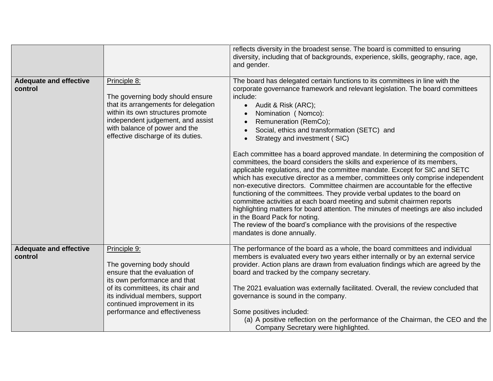|                                          |                                                                                                                                                                                                                                                    | reflects diversity in the broadest sense. The board is committed to ensuring<br>diversity, including that of backgrounds, experience, skills, geography, race, age,<br>and gender.                                                                                                                                                                                                                                                                                                                                                                                                                                                                                                                                                                                                                                                                                                                                                                                                                                                                                                                                                                                                   |
|------------------------------------------|----------------------------------------------------------------------------------------------------------------------------------------------------------------------------------------------------------------------------------------------------|--------------------------------------------------------------------------------------------------------------------------------------------------------------------------------------------------------------------------------------------------------------------------------------------------------------------------------------------------------------------------------------------------------------------------------------------------------------------------------------------------------------------------------------------------------------------------------------------------------------------------------------------------------------------------------------------------------------------------------------------------------------------------------------------------------------------------------------------------------------------------------------------------------------------------------------------------------------------------------------------------------------------------------------------------------------------------------------------------------------------------------------------------------------------------------------|
| <b>Adequate and effective</b><br>control | Principle 8:<br>The governing body should ensure<br>that its arrangements for delegation<br>within its own structures promote<br>independent judgement, and assist<br>with balance of power and the<br>effective discharge of its duties.          | The board has delegated certain functions to its committees in line with the<br>corporate governance framework and relevant legislation. The board committees<br>include:<br>Audit & Risk (ARC);<br>$\bullet$<br>Nomination (Nomco):<br>$\bullet$<br>Remuneration (RemCo);<br>$\bullet$<br>Social, ethics and transformation (SETC) and<br>Strategy and investment (SIC)<br>Each committee has a board approved mandate. In determining the composition of<br>committees, the board considers the skills and experience of its members,<br>applicable regulations, and the committee mandate. Except for SIC and SETC<br>which has executive director as a member, committees only comprise independent<br>non-executive directors. Committee chairmen are accountable for the effective<br>functioning of the committees. They provide verbal updates to the board on<br>committee activities at each board meeting and submit chairmen reports<br>highlighting matters for board attention. The minutes of meetings are also included<br>in the Board Pack for noting.<br>The review of the board's compliance with the provisions of the respective<br>mandates is done annually. |
| <b>Adequate and effective</b><br>control | Principle 9:<br>The governing body should<br>ensure that the evaluation of<br>its own performance and that<br>of its committees, its chair and<br>its individual members, support<br>continued improvement in its<br>performance and effectiveness | The performance of the board as a whole, the board committees and individual<br>members is evaluated every two years either internally or by an external service<br>provider. Action plans are drawn from evaluation findings which are agreed by the<br>board and tracked by the company secretary.<br>The 2021 evaluation was externally facilitated. Overall, the review concluded that<br>governance is sound in the company.<br>Some positives included:<br>(a) A positive reflection on the performance of the Chairman, the CEO and the<br>Company Secretary were highlighted.                                                                                                                                                                                                                                                                                                                                                                                                                                                                                                                                                                                                |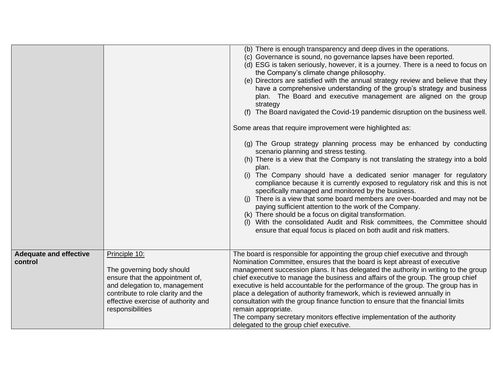|                                          |                                                                                                                                                                                                                 | (b) There is enough transparency and deep dives in the operations.<br>(c) Governance is sound, no governance lapses have been reported.<br>(d) ESG is taken seriously, however, it is a journey. There is a need to focus on<br>the Company's climate change philosophy.<br>(e) Directors are satisfied with the annual strategy review and believe that they<br>have a comprehensive understanding of the group's strategy and business<br>plan. The Board and executive management are aligned on the group<br>strategy<br>The Board navigated the Covid-19 pandemic disruption on the business well.<br>(f)<br>Some areas that require improvement were highlighted as:<br>(g) The Group strategy planning process may be enhanced by conducting<br>scenario planning and stress testing.<br>(h) There is a view that the Company is not translating the strategy into a bold<br>plan.<br>(i) The Company should have a dedicated senior manager for regulatory<br>compliance because it is currently exposed to regulatory risk and this is not<br>specifically managed and monitored by the business.<br>There is a view that some board members are over-boarded and may not be<br>paying sufficient attention to the work of the Company.<br>(k) There should be a focus on digital transformation.<br>With the consolidated Audit and Risk committees, the Committee should<br>ensure that equal focus is placed on both audit and risk matters. |
|------------------------------------------|-----------------------------------------------------------------------------------------------------------------------------------------------------------------------------------------------------------------|----------------------------------------------------------------------------------------------------------------------------------------------------------------------------------------------------------------------------------------------------------------------------------------------------------------------------------------------------------------------------------------------------------------------------------------------------------------------------------------------------------------------------------------------------------------------------------------------------------------------------------------------------------------------------------------------------------------------------------------------------------------------------------------------------------------------------------------------------------------------------------------------------------------------------------------------------------------------------------------------------------------------------------------------------------------------------------------------------------------------------------------------------------------------------------------------------------------------------------------------------------------------------------------------------------------------------------------------------------------------------------------------------------------------------------------------------------|
| <b>Adequate and effective</b><br>control | Principle 10:<br>The governing body should<br>ensure that the appointment of,<br>and delegation to, management<br>contribute to role clarity and the<br>effective exercise of authority and<br>responsibilities | The board is responsible for appointing the group chief executive and through<br>Nomination Committee, ensures that the board is kept abreast of executive<br>management succession plans. It has delegated the authority in writing to the group<br>chief executive to manage the business and affairs of the group. The group chief<br>executive is held accountable for the performance of the group. The group has in<br>place a delegation of authority framework, which is reviewed annually in<br>consultation with the group finance function to ensure that the financial limits<br>remain appropriate.<br>The company secretary monitors effective implementation of the authority<br>delegated to the group chief executive.                                                                                                                                                                                                                                                                                                                                                                                                                                                                                                                                                                                                                                                                                                                  |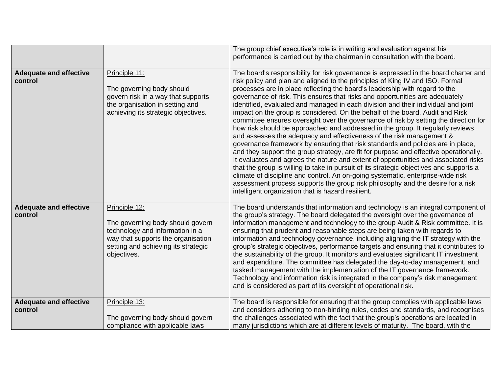|                                          |                                                                                                                                                                                  | The group chief executive's role is in writing and evaluation against his<br>performance is carried out by the chairman in consultation with the board.                                                                                                                                                                                                                                                                                                                                                                                                                                                                                                                                                                                                                                                                                                                                                                                                                                                                                                                                                                                                                                                                                                                                                                                                |
|------------------------------------------|----------------------------------------------------------------------------------------------------------------------------------------------------------------------------------|--------------------------------------------------------------------------------------------------------------------------------------------------------------------------------------------------------------------------------------------------------------------------------------------------------------------------------------------------------------------------------------------------------------------------------------------------------------------------------------------------------------------------------------------------------------------------------------------------------------------------------------------------------------------------------------------------------------------------------------------------------------------------------------------------------------------------------------------------------------------------------------------------------------------------------------------------------------------------------------------------------------------------------------------------------------------------------------------------------------------------------------------------------------------------------------------------------------------------------------------------------------------------------------------------------------------------------------------------------|
| <b>Adequate and effective</b><br>control | Principle 11:<br>The governing body should<br>govern risk in a way that supports<br>the organisation in setting and<br>achieving its strategic objectives.                       | The board's responsibility for risk governance is expressed in the board charter and<br>risk policy and plan and aligned to the principles of King IV and ISO. Formal<br>processes are in place reflecting the board's leadership with regard to the<br>governance of risk. This ensures that risks and opportunities are adequately<br>identified, evaluated and managed in each division and their individual and joint<br>impact on the group is considered. On the behalf of the board, Audit and Risk<br>committee ensures oversight over the governance of risk by setting the direction for<br>how risk should be approached and addressed in the group. It regularly reviews<br>and assesses the adequacy and effectiveness of the risk management &<br>governance framework by ensuring that risk standards and policies are in place,<br>and they support the group strategy, are fit for purpose and effective operationally.<br>It evaluates and agrees the nature and extent of opportunities and associated risks<br>that the group is willing to take in pursuit of its strategic objectives and supports a<br>climate of discipline and control. An on-going systematic, enterprise-wide risk<br>assessment process supports the group risk philosophy and the desire for a risk<br>intelligent organization that is hazard resilient. |
| <b>Adequate and effective</b><br>control | Principle 12:<br>The governing body should govern<br>technology and information in a<br>way that supports the organisation<br>setting and achieving its strategic<br>objectives. | The board understands that information and technology is an integral component of<br>the group's strategy. The board delegated the oversight over the governance of<br>information management and technology to the group Audit & Risk committee. It is<br>ensuring that prudent and reasonable steps are being taken with regards to<br>information and technology governance, including aligning the IT strategy with the<br>group's strategic objectives, performance targets and ensuring that it contributes to<br>the sustainability of the group. It monitors and evaluates significant IT investment<br>and expenditure. The committee has delegated the day-to-day management, and<br>tasked management with the implementation of the IT governance framework.<br>Technology and information risk is integrated in the company's risk management<br>and is considered as part of its oversight of operational risk.                                                                                                                                                                                                                                                                                                                                                                                                                          |
| <b>Adequate and effective</b><br>control | Principle 13:<br>The governing body should govern<br>compliance with applicable laws                                                                                             | The board is responsible for ensuring that the group complies with applicable laws<br>and considers adhering to non-binding rules, codes and standards, and recognises<br>the challenges associated with the fact that the group's operations are located in<br>many jurisdictions which are at different levels of maturity. The board, with the                                                                                                                                                                                                                                                                                                                                                                                                                                                                                                                                                                                                                                                                                                                                                                                                                                                                                                                                                                                                      |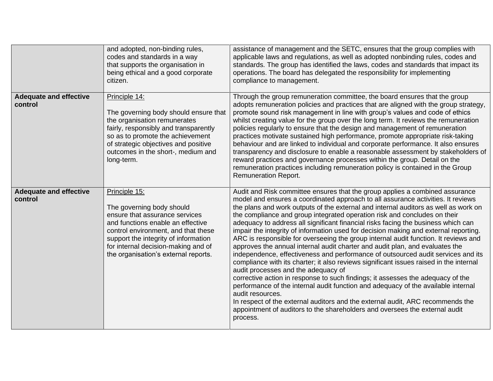|                                          | and adopted, non-binding rules,<br>codes and standards in a way<br>that supports the organisation in<br>being ethical and a good corporate<br>citizen.                                                                                                                          | assistance of management and the SETC, ensures that the group complies with<br>applicable laws and regulations, as well as adopted nonbinding rules, codes and<br>standards. The group has identified the laws, codes and standards that impact its<br>operations. The board has delegated the responsibility for implementing<br>compliance to management.                                                                                                                                                                                                                                                                                                                                                                                                                                                                                                                                                                                                                                                                                                                                                                                                                                                                                                                            |
|------------------------------------------|---------------------------------------------------------------------------------------------------------------------------------------------------------------------------------------------------------------------------------------------------------------------------------|----------------------------------------------------------------------------------------------------------------------------------------------------------------------------------------------------------------------------------------------------------------------------------------------------------------------------------------------------------------------------------------------------------------------------------------------------------------------------------------------------------------------------------------------------------------------------------------------------------------------------------------------------------------------------------------------------------------------------------------------------------------------------------------------------------------------------------------------------------------------------------------------------------------------------------------------------------------------------------------------------------------------------------------------------------------------------------------------------------------------------------------------------------------------------------------------------------------------------------------------------------------------------------------|
| <b>Adequate and effective</b><br>control | Principle 14:<br>The governing body should ensure that<br>the organisation remunerates<br>fairly, responsibly and transparently<br>so as to promote the achievement<br>of strategic objectives and positive<br>outcomes in the short-, medium and<br>long-term.                 | Through the group remuneration committee, the board ensures that the group<br>adopts remuneration policies and practices that are aligned with the group strategy,<br>promote sound risk management in line with group's values and code of ethics<br>whilst creating value for the group over the long term. It reviews the remuneration<br>policies regularly to ensure that the design and management of remuneration<br>practices motivate sustained high performance, promote appropriate risk-taking<br>behaviour and are linked to individual and corporate performance. It also ensures<br>transparency and disclosure to enable a reasonable assessment by stakeholders of<br>reward practices and governance processes within the group. Detail on the<br>remuneration practices including remuneration policy is contained in the Group<br><b>Remuneration Report.</b>                                                                                                                                                                                                                                                                                                                                                                                                      |
| <b>Adequate and effective</b><br>control | Principle 15:<br>The governing body should<br>ensure that assurance services<br>and functions enable an effective<br>control environment, and that these<br>support the integrity of information<br>for internal decision-making and of<br>the organisation's external reports. | Audit and Risk committee ensures that the group applies a combined assurance<br>model and ensures a coordinated approach to all assurance activities. It reviews<br>the plans and work outputs of the external and internal auditors as well as work on<br>the compliance and group integrated operation risk and concludes on their<br>adequacy to address all significant financial risks facing the business which can<br>impair the integrity of information used for decision making and external reporting.<br>ARC is responsible for overseeing the group internal audit function. It reviews and<br>approves the annual internal audit charter and audit plan, and evaluates the<br>independence, effectiveness and performance of outsourced audit services and its<br>compliance with its charter; it also reviews significant issues raised in the internal<br>audit processes and the adequacy of<br>corrective action in response to such findings; it assesses the adequacy of the<br>performance of the internal audit function and adequacy of the available internal<br>audit resources.<br>In respect of the external auditors and the external audit, ARC recommends the<br>appointment of auditors to the shareholders and oversees the external audit<br>process. |